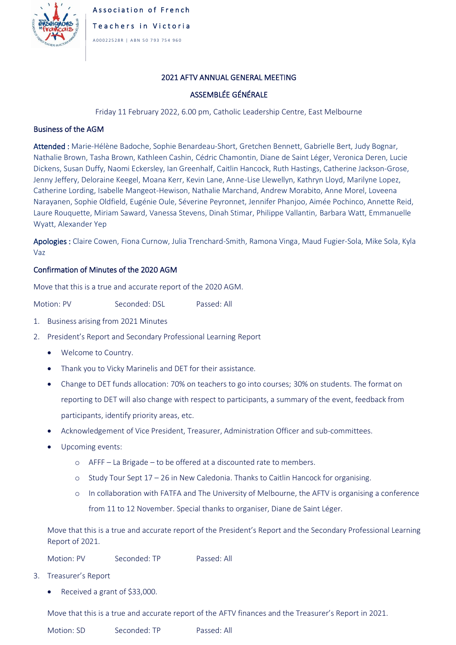

## 2021 AFTV ANNUAL GENERAL MEETING

## ASSEMBLÉE GÉNÉRALE

Friday 11 February 2022, 6.00 pm, Catholic Leadership Centre, East Melbourne

## Business of the AGM

Attended : Marie-Hélène Badoche, Sophie Benardeau-Short, Gretchen Bennett, Gabrielle Bert, Judy Bognar, Nathalie Brown, Tasha Brown, Kathleen Cashin, Cédric Chamontin, Diane de Saint Léger, Veronica Deren, Lucie Dickens, Susan Duffy, Naomi Eckersley, Ian Greenhalf, Caitlin Hancock, Ruth Hastings, Catherine Jackson-Grose, Jenny Jeffery, Deloraine Keegel, Moana Kerr, Kevin Lane, Anne-Lise Llewellyn, Kathryn Lloyd, Marilyne Lopez, Catherine Lording, Isabelle Mangeot-Hewison, Nathalie Marchand, Andrew Morabito, Anne Morel, Loveena Narayanen, Sophie Oldfield, Eugénie Oule, Séverine Peyronnet, Jennifer Phanjoo, Aimée Pochinco, Annette Reid, Laure Rouquette, Miriam Saward, Vanessa Stevens, Dinah Stimar, Philippe Vallantin, Barbara Watt, Emmanuelle Wyatt, Alexander Yep

Apologies : Claire Cowen, Fiona Curnow, Julia Trenchard-Smith, Ramona Vinga, Maud Fugier-Sola, Mike Sola, Kyla Vaz

## Confirmation of Minutes of the 2020 AGM

Move that this is a true and accurate report of the 2020 AGM.

Motion: PV Seconded: DSL Passed: All

- 1. Business arising from 2021 Minutes
- 2. President's Report and Secondary Professional Learning Report
	- Welcome to Country.
	- Thank you to Vicky Marinelis and DET for their assistance.
	- Change to DET funds allocation: 70% on teachers to go into courses; 30% on students. The format on reporting to DET will also change with respect to participants, a summary of the event, feedback from participants, identify priority areas, etc.
	- Acknowledgement of Vice President, Treasurer, Administration Officer and sub-committees.
	- Upcoming events:
		- o AFFF La Brigade to be offered at a discounted rate to members.
		- $\circ$  Study Tour Sept 17 26 in New Caledonia. Thanks to Caitlin Hancock for organising.
		- o In collaboration with FATFA and The University of Melbourne, the AFTV is organising a conference from 11 to 12 November. Special thanks to organiser, Diane de Saint Léger.

Move that this is a true and accurate report of the President's Report and the Secondary Professional Learning Report of 2021.

Motion: PV Seconded: TP Passed: All

- 3. Treasurer's Report
	- Received a grant of \$33,000.

Move that this is a true and accurate report of the AFTV finances and the Treasurer's Report in 2021.

Motion: SD Seconded: TP Passed: All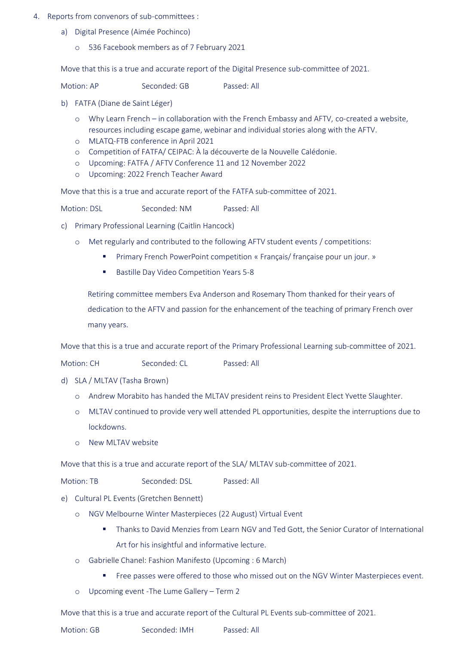- 4. Reports from convenors of sub-committees :
	- a) Digital Presence (Aimée Pochinco)
		- o 536 Facebook members as of 7 February 2021

Move that this is a true and accurate report of the Digital Presence sub-committee of 2021.

Motion: AP Seconded: GB Passed: All

- b) FATFA (Diane de Saint Léger)
	- o Why Learn French in collaboration with the French Embassy and AFTV, co-created a website, resources including escape game, webinar and individual stories along with the AFTV.
	- o MLATQ-FTB conference in April 2021
	- o Competition of FATFA/ CEIPAC: À la découverte de la Nouvelle Calédonie.
	- o Upcoming: FATFA / AFTV Conference 11 and 12 November 2022
	- o Upcoming: 2022 French Teacher Award

Move that this is a true and accurate report of the FATFA sub-committee of 2021.

Motion: DSL Seconded: NM Passed: All

- c) Primary Professional Learning (Caitlin Hancock)
	- o Met regularly and contributed to the following AFTV student events / competitions:
		- Primary French PowerPoint competition « Français/ française pour un jour. »
		- Bastille Day Video Competition Years 5-8

Retiring committee members Eva Anderson and Rosemary Thom thanked for their years of dedication to the AFTV and passion for the enhancement of the teaching of primary French over many years.

Move that this is a true and accurate report of the Primary Professional Learning sub-committee of 2021.

Motion: CH Seconded: CL Passed: All

- d) SLA / MLTAV (Tasha Brown)
	- o Andrew Morabito has handed the MLTAV president reins to President Elect Yvette Slaughter.
	- o MLTAV continued to provide very well attended PL opportunities, despite the interruptions due to lockdowns.
	- o New MLTAV website

Move that this is a true and accurate report of the SLA/ MLTAV sub-committee of 2021.

Motion: TB Seconded: DSL Passed: All

- e) Cultural PL Events (Gretchen Bennett)
	- o NGV Melbourne Winter Masterpieces (22 August) Virtual Event
		- **■** Thanks to David Menzies from Learn NGV and Ted Gott, the Senior Curator of International Art for his insightful and informative lecture.
	- o Gabrielle Chanel: Fashion Manifesto (Upcoming : 6 March)
		- Free passes were offered to those who missed out on the NGV Winter Masterpieces event.
	- Upcoming event -The Lume Gallery Term 2

Move that this is a true and accurate report of the Cultural PL Events sub-committee of 2021.

Motion: GB Seconded: IMH Passed: All